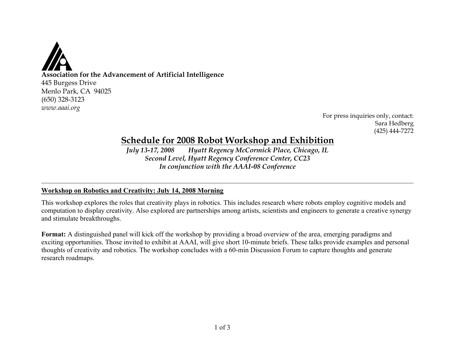

For press inquiries only, contact: Sara Hedberg (425) 444-7272

# **Schedule for 2008 Robot Workshop and Exhibition**

*July 13-17, 2008 Hyatt Regency McCormick Place, Chicago, IL Second Level, Hyatt Regency Conference Center, CC23 In conjunction with the AAAI-08 Conference*

# **Workshop on Robotics and Creativity: July 14, 2008 Morning**

This workshop explores the roles that creativity plays in robotics. This includes research where robots employ cognitive models and computation to display creativity. Also explored are partnerships among artists, scientists and engineers to generate a creative synergy and stimulate breakthroughs.

**Format:** A distinguished panel will kick off the workshop by providing a broad overview of the area, emerging paradigms and exciting opportunities. Those invited to exhibit at AAAI, will give short 10-minute briefs. These talks provide examples and personal thoughts of creativity and robotics. The workshop concludes with a 60-min Discussion Forum to capture thoughts and generate research roadmaps.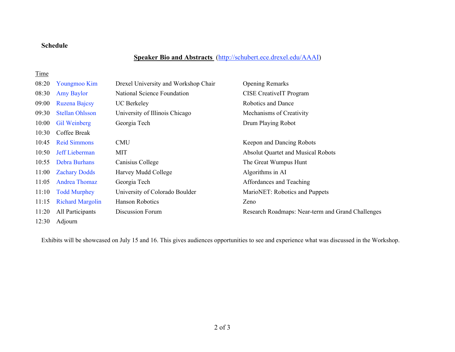# **Schedule**

# **Speaker Bio and Abstracts** (http://schubert.ece.drexel.edu/AAAI)

# **Time**

| 08:20 | Youngmoo Kim            | Drexel University and Workshop Chair | <b>Opening Remarks</b>                            |
|-------|-------------------------|--------------------------------------|---------------------------------------------------|
| 08:30 | <b>Amy Baylor</b>       | National Science Foundation          | <b>CISE CreativelT Program</b>                    |
| 09:00 | Ruzena Bajcsy           | <b>UC</b> Berkeley                   | Robotics and Dance                                |
| 09:30 | <b>Stellan Ohlsson</b>  | University of Illinois Chicago       | Mechanisms of Creativity                          |
| 10:00 | <b>Gil Weinberg</b>     | Georgia Tech                         | Drum Playing Robot                                |
| 10:30 | Coffee Break            |                                      |                                                   |
| 10:45 | <b>Reid Simmons</b>     | <b>CMU</b>                           | Keepon and Dancing Robots                         |
| 10:50 | <b>Jeff Lieberman</b>   | <b>MIT</b>                           | <b>Absolut Quartet and Musical Robots</b>         |
| 10:55 | <b>Debra Burhans</b>    | Canisius College                     | The Great Wumpus Hunt                             |
| 11:00 | <b>Zachary Dodds</b>    | Harvey Mudd College                  | Algorithms in AI                                  |
| 11:05 | <b>Andrea Thomaz</b>    | Georgia Tech                         | Affordances and Teaching                          |
| 11:10 | <b>Todd Murphey</b>     | University of Colorado Boulder       | MarioNET: Robotics and Puppets                    |
| 11:15 | <b>Richard Margolin</b> | Hanson Robotics                      | Zeno                                              |
| 11:20 | All Participants        | Discussion Forum                     | Research Roadmaps: Near-term and Grand Challenges |

12:30 Adjourn

Exhibits will be showcased on July 15 and 16. This gives audiences opportunities to see and experience what was discussed in the Workshop.